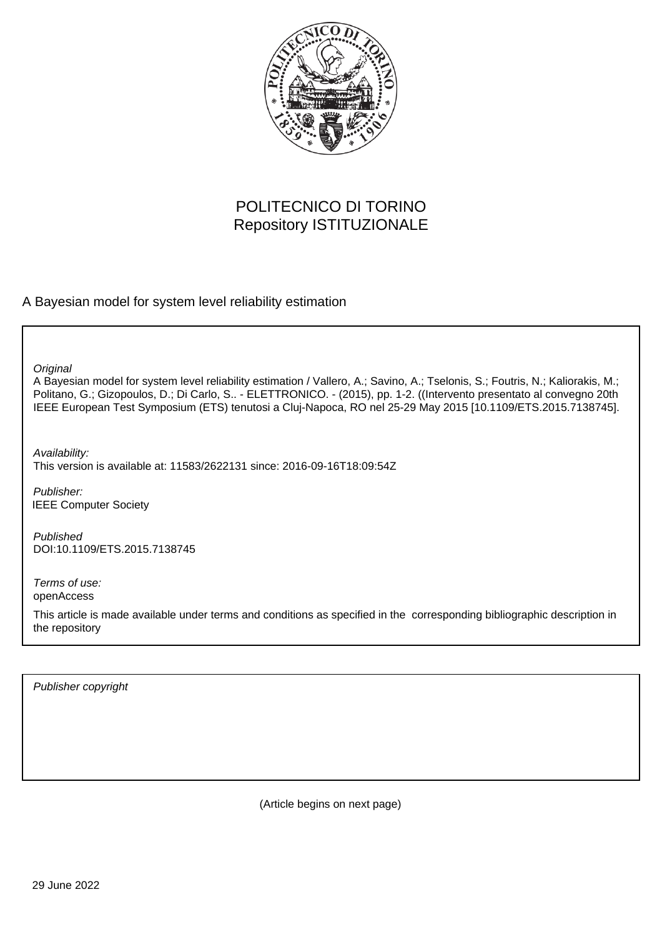

## POLITECNICO DI TORINO Repository ISTITUZIONALE

A Bayesian model for system level reliability estimation

**Original** 

A Bayesian model for system level reliability estimation / Vallero, A.; Savino, A.; Tselonis, S.; Foutris, N.; Kaliorakis, M.; Politano, G.; Gizopoulos, D.; Di Carlo, S.. - ELETTRONICO. - (2015), pp. 1-2. ((Intervento presentato al convegno 20th IEEE European Test Symposium (ETS) tenutosi a Cluj-Napoca, RO nel 25-29 May 2015 [10.1109/ETS.2015.7138745].

Availability: This version is available at: 11583/2622131 since: 2016-09-16T18:09:54Z

Publisher: IEEE Computer Society

Published DOI:10.1109/ETS.2015.7138745

Terms of use: openAccess

This article is made available under terms and conditions as specified in the corresponding bibliographic description in the repository

Publisher copyright

(Article begins on next page)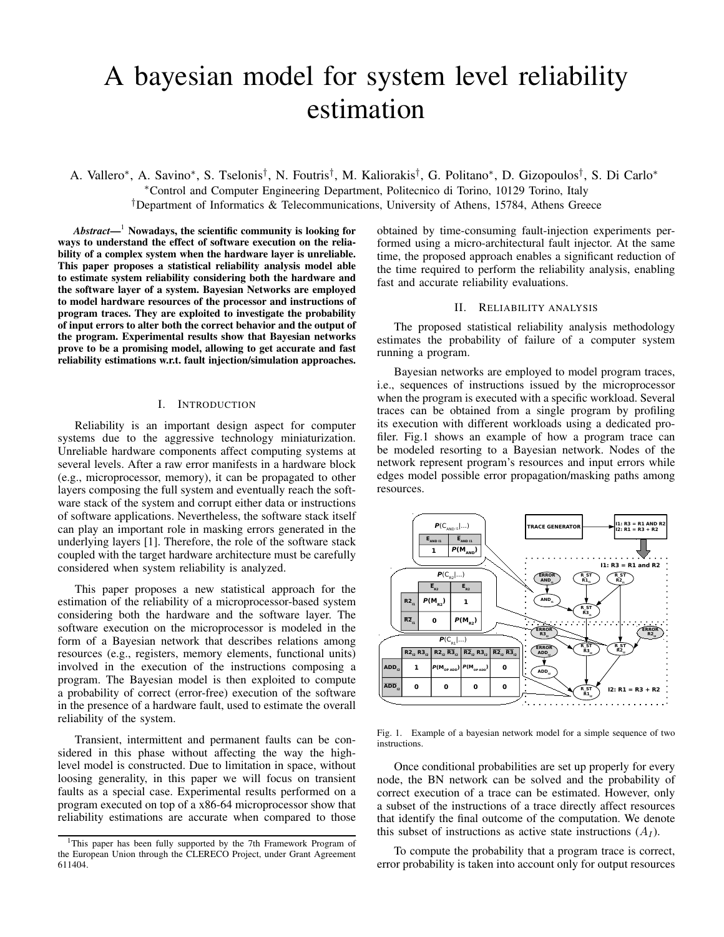# A bayesian model for system level reliability estimation

A. Vallero\*, A. Savino\*, S. Tselonis<sup>†</sup>, N. Foutris<sup>†</sup>, M. Kaliorakis<sup>†</sup>, G. Politano\*, D. Gizopoulos<sup>†</sup>, S. Di Carlo\* <sup>∗</sup>Control and Computer Engineering Department, Politecnico di Torino, 10129 Torino, Italy †Department of Informatics & Telecommunications, University of Athens, 15784, Athens Greece

 $Abstract-<sup>1</sup>$  Nowadays, the scientific community is looking for ways to understand the effect of software execution on the reliability of a complex system when the hardware layer is unreliable. This paper proposes a statistical reliability analysis model able to estimate system reliability considering both the hardware and the software layer of a system. Bayesian Networks are employed to model hardware resources of the processor and instructions of program traces. They are exploited to investigate the probability of input errors to alter both the correct behavior and the output of the program. Experimental results show that Bayesian networks prove to be a promising model, allowing to get accurate and fast reliability estimations w.r.t. fault injection/simulation approaches.

### I. INTRODUCTION

Reliability is an important design aspect for computer systems due to the aggressive technology miniaturization. Unreliable hardware components affect computing systems at several levels. After a raw error manifests in a hardware block (e.g., microprocessor, memory), it can be propagated to other layers composing the full system and eventually reach the software stack of the system and corrupt either data or instructions of software applications. Nevertheless, the software stack itself can play an important role in masking errors generated in the underlying layers [1]. Therefore, the role of the software stack coupled with the target hardware architecture must be carefully considered when system reliability is analyzed.

This paper proposes a new statistical approach for the estimation of the reliability of a microprocessor-based system considering both the hardware and the software layer. The software execution on the microprocessor is modeled in the form of a Bayesian network that describes relations among resources (e.g., registers, memory elements, functional units) involved in the execution of the instructions composing a program. The Bayesian model is then exploited to compute a probability of correct (error-free) execution of the software in the presence of a hardware fault, used to estimate the overall reliability of the system.

Transient, intermittent and permanent faults can be considered in this phase without affecting the way the highlevel model is constructed. Due to limitation in space, without loosing generality, in this paper we will focus on transient faults as a special case. Experimental results performed on a program executed on top of a x86-64 microprocessor show that reliability estimations are accurate when compared to those obtained by time-consuming fault-injection experiments performed using a micro-architectural fault injector. At the same time, the proposed approach enables a significant reduction of the time required to perform the reliability analysis, enabling fast and accurate reliability evaluations.

#### II. RELIABILITY ANALYSIS

The proposed statistical reliability analysis methodology estimates the probability of failure of a computer system running a program.

Bayesian networks are employed to model program traces, i.e., sequences of instructions issued by the microprocessor when the program is executed with a specific workload. Several traces can be obtained from a single program by profiling its execution with different workloads using a dedicated profiler. Fig.1 shows an example of how a program trace can be modeled resorting to a Bayesian network. Nodes of the network represent program's resources and input errors while edges model possible error propagation/masking paths among resources.



Fig. 1. Example of a bayesian network model for a simple sequence of two instructions.

Once conditional probabilities are set up properly for every node, the BN network can be solved and the probability of correct execution of a trace can be estimated. However, only a subset of the instructions of a trace directly affect resources that identify the final outcome of the computation. We denote this subset of instructions as active state instructions  $(A<sub>I</sub>)$ .

To compute the probability that a program trace is correct, error probability is taken into account only for output resources

<sup>&</sup>lt;sup>1</sup>This paper has been fully supported by the 7th Framework Program of the European Union through the CLERECO Project, under Grant Agreement 611404.